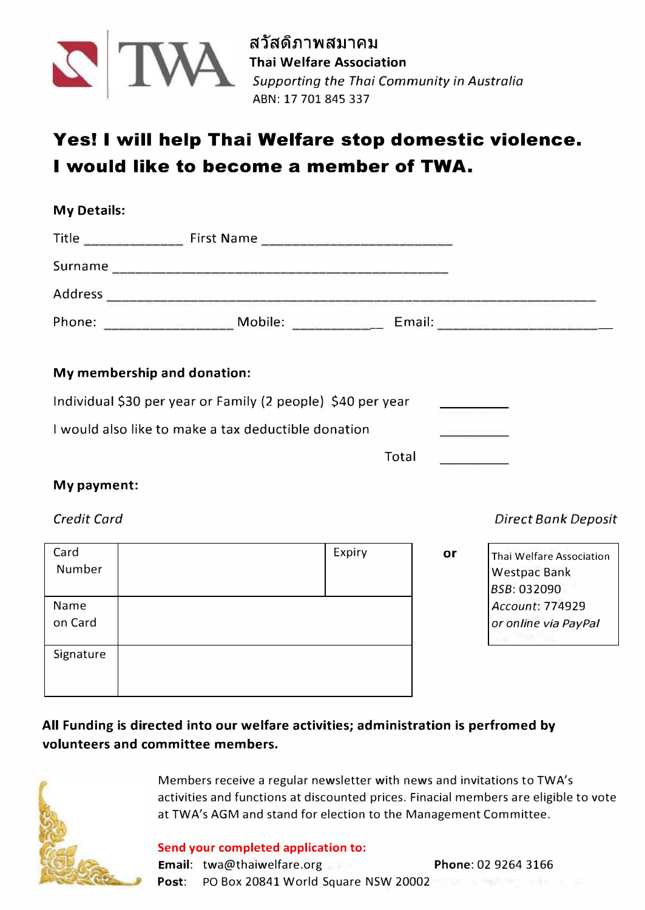

## **Yes! I will help Thai Welfare stop domestic violence. I would like to become a member of TWA.**

| <b>My Details:</b>                                          |                                                                                                      |        |    |                                          |
|-------------------------------------------------------------|------------------------------------------------------------------------------------------------------|--------|----|------------------------------------------|
|                                                             |                                                                                                      |        |    |                                          |
|                                                             |                                                                                                      |        |    |                                          |
|                                                             |                                                                                                      |        |    |                                          |
|                                                             | Phone: ______________________ Mobile: ____________________ Email: __________________________________ |        |    |                                          |
|                                                             |                                                                                                      |        |    |                                          |
| My membership and donation:                                 |                                                                                                      |        |    |                                          |
| Individual \$30 per year or Family (2 people) \$40 per year |                                                                                                      |        |    |                                          |
| I would also like to make a tax deductible donation         |                                                                                                      |        |    |                                          |
|                                                             |                                                                                                      | Total  |    |                                          |
| My payment:                                                 |                                                                                                      |        |    |                                          |
| Credit Card                                                 |                                                                                                      |        |    | Direct Bank Deposit                      |
| Card<br>Number                                              |                                                                                                      | Expiry | or | Thai Welfare Association<br>Westpac Bank |

## **All Funding is directed into our welfare activities; administration is perfromed by volunteers and committee members.**



Name on Card

**Signature** 

Members receive a regular newsletter with news and invitations to TWA's activities and functions at discounted prices. Finacial members are eligible to vote at TWA's AGM and stand for election to the Management Committee.

## **Send your completed application to:**

**Email:** twa@thaiwelfare.org **Phone:** 02 9264 3166

858:032090 *Account:* 774929 *or online via PayPal*

**Post:** PO Box 20841 World Square NSW 20002